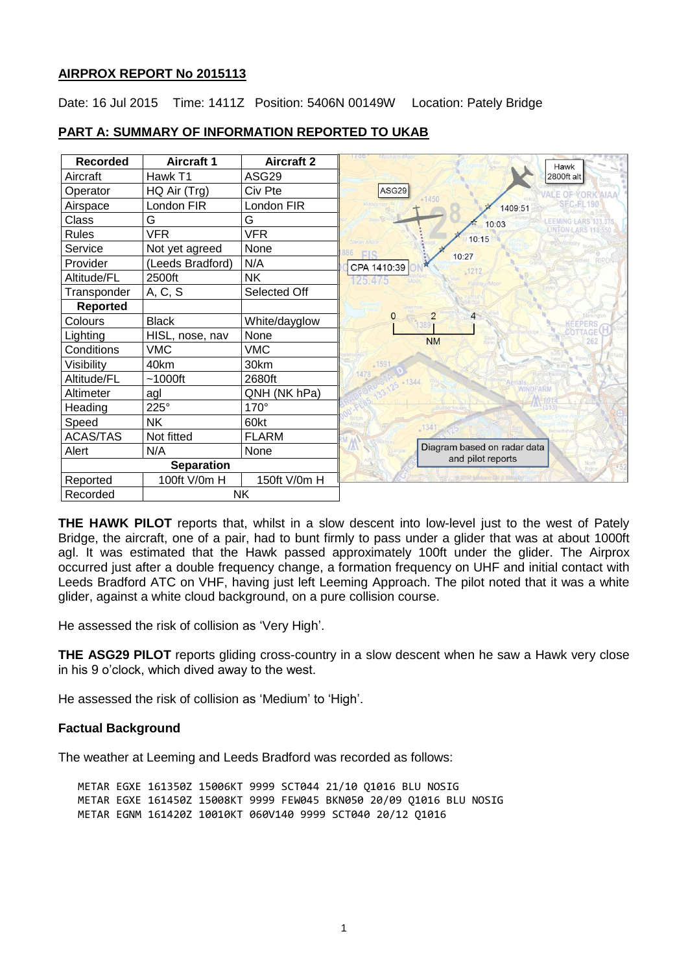## **AIRPROX REPORT No 2015113**

Date: 16 Jul 2015 Time: 1411Z Position: 5406N 00149W Location: Pately Bridge

| <b>Recorded</b>   | <b>Aircraft 1</b> | <b>Aircraft 2</b> | 1/00<br>Hawk                                     |
|-------------------|-------------------|-------------------|--------------------------------------------------|
| Aircraft          | Hawk T1           | ASG29             | 2800ft alt                                       |
| Operator          | HQ Air (Trg)      | Civ Pte           | ASG29<br>VALE OF YORK AIAA                       |
| Airspace          | London FIR        | London FIR        | $-1450$<br><b>SEC-EL190</b><br>1409:51           |
| Class             | G                 | G                 | 10:03                                            |
| <b>Rules</b>      | <b>VFR</b>        | <b>VFR</b>        | 10:15<br>Stean Man                               |
| Service           | Not yet agreed    | None              | 386<br>FIS<br>10:27                              |
| Provider          | (Leeds Bradford)  | N/A               | CPA 1410:39<br>$-1212$                           |
| Altitude/FL       | 2500ft            | <b>NK</b>         | 125.475<br>Patelev/Moor                          |
| Transponder       | A, C, S           | Selected Off      |                                                  |
| <b>Reported</b>   |                   |                   |                                                  |
| Colours           | <b>Black</b>      | White/dayglow     | 2<br>4<br>0<br>PERS<br>13897                     |
| Lighting          | HISL, nose, nav   | None              | AGE <sup></sup><br><b>NM</b><br>262              |
| Conditions        | <b>VMC</b>        | <b>VMC</b>        |                                                  |
| Visibility        | 40km              | 30km              | .1597                                            |
| Altitude/FL       | $~1000$ ft        | 2680ft            | 125 - 1344                                       |
| Altimeter         | agl               | QNH (NK hPa)      | <b>WINDFARM</b>                                  |
| Heading           | 225°              | 170°              |                                                  |
| Speed             | <b>NK</b>         | 60kt              | 1341                                             |
| <b>ACAS/TAS</b>   | Not fitted        | <b>FLARM</b>      |                                                  |
| Alert             | N/A               | None              | Diagram based on radar data<br>and pilot reports |
| <b>Separation</b> |                   |                   | North<br>Rigton                                  |
| Reported          | 100ft V/0m H      | 150ft V/0m H      | @ 2010 holdsmarked & EUGLett                     |
| Recorded          | NΚ                |                   |                                                  |

# **PART A: SUMMARY OF INFORMATION REPORTED TO UKAB**

**THE HAWK PILOT** reports that, whilst in a slow descent into low-level just to the west of Pately Bridge, the aircraft, one of a pair, had to bunt firmly to pass under a glider that was at about 1000ft agl. It was estimated that the Hawk passed approximately 100ft under the glider. The Airprox occurred just after a double frequency change, a formation frequency on UHF and initial contact with Leeds Bradford ATC on VHF, having just left Leeming Approach. The pilot noted that it was a white glider, against a white cloud background, on a pure collision course.

He assessed the risk of collision as 'Very High'.

**THE ASG29 PILOT** reports gliding cross-country in a slow descent when he saw a Hawk very close in his 9 o'clock, which dived away to the west.

He assessed the risk of collision as 'Medium' to 'High'.

# **Factual Background**

The weather at Leeming and Leeds Bradford was recorded as follows:

METAR EGXE 161350Z 15006KT 9999 SCT044 21/10 Q1016 BLU NOSIG METAR EGXE 161450Z 15008KT 9999 FEW045 BKN050 20/09 Q1016 BLU NOSIG METAR EGNM 161420Z 10010KT 060V140 9999 SCT040 20/12 Q1016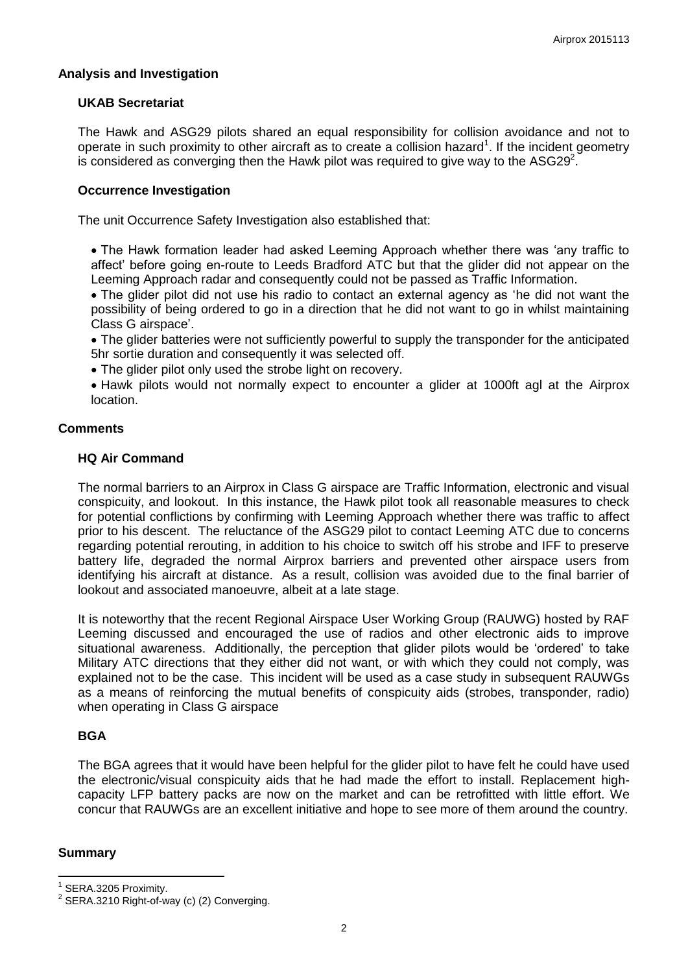## **Analysis and Investigation**

### **UKAB Secretariat**

The Hawk and ASG29 pilots shared an equal responsibility for collision avoidance and not to operate in such proximity to other aircraft as to create a collision hazard<sup>1</sup>. If the incident geometry is considered as converging then the Hawk pilot was required to give way to the ASG29<sup>2</sup>.

## **Occurrence Investigation**

The unit Occurrence Safety Investigation also established that:

• The Hawk formation leader had asked Leeming Approach whether there was 'any traffic to affect' before going en-route to Leeds Bradford ATC but that the glider did not appear on the Leeming Approach radar and consequently could not be passed as Traffic Information.

 The glider pilot did not use his radio to contact an external agency as 'he did not want the possibility of being ordered to go in a direction that he did not want to go in whilst maintaining Class G airspace'.

 The glider batteries were not sufficiently powerful to supply the transponder for the anticipated 5hr sortie duration and consequently it was selected off.

The glider pilot only used the strobe light on recovery.

 Hawk pilots would not normally expect to encounter a glider at 1000ft agl at the Airprox location.

## **Comments**

#### **HQ Air Command**

The normal barriers to an Airprox in Class G airspace are Traffic Information, electronic and visual conspicuity, and lookout. In this instance, the Hawk pilot took all reasonable measures to check for potential conflictions by confirming with Leeming Approach whether there was traffic to affect prior to his descent. The reluctance of the ASG29 pilot to contact Leeming ATC due to concerns regarding potential rerouting, in addition to his choice to switch off his strobe and IFF to preserve battery life, degraded the normal Airprox barriers and prevented other airspace users from identifying his aircraft at distance. As a result, collision was avoided due to the final barrier of lookout and associated manoeuvre, albeit at a late stage.

It is noteworthy that the recent Regional Airspace User Working Group (RAUWG) hosted by RAF Leeming discussed and encouraged the use of radios and other electronic aids to improve situational awareness. Additionally, the perception that glider pilots would be 'ordered' to take Military ATC directions that they either did not want, or with which they could not comply, was explained not to be the case. This incident will be used as a case study in subsequent RAUWGs as a means of reinforcing the mutual benefits of conspicuity aids (strobes, transponder, radio) when operating in Class G airspace

# **BGA**

The BGA agrees that it would have been helpful for the glider pilot to have felt he could have used the electronic/visual conspicuity aids that he had made the effort to install. Replacement highcapacity LFP battery packs are now on the market and can be retrofitted with little effort. We concur that RAUWGs are an excellent initiative and hope to see more of them around the country.

#### **Summary**

 $\overline{\phantom{a}}$ 

<sup>1</sup> SERA.3205 Proximity.

 $2$  SERA.3210 Right-of-way (c) (2) Converging.